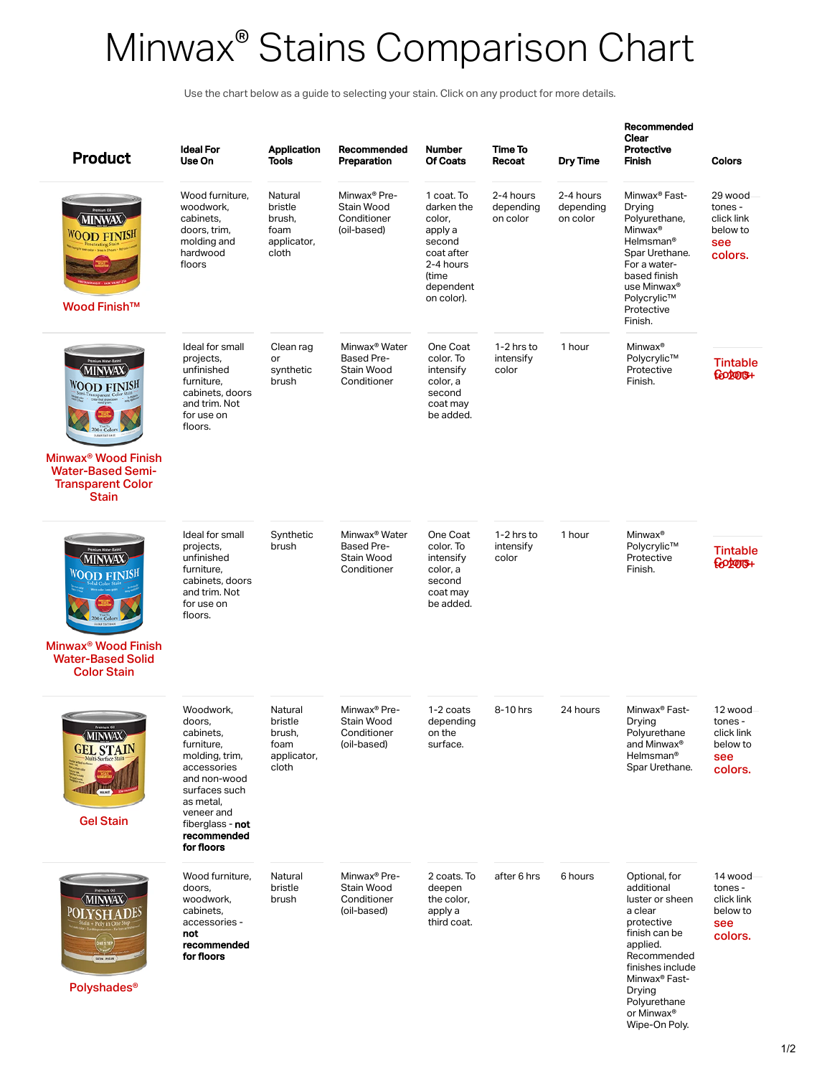## Minwax<sup>®</sup> Stains Comparison Chart ®

Use the chart below as a guide to selecting your stain. Click on any product for more details.

| <b>Product</b>                                                                                                                                 | <b>Ideal For</b><br>Use On                                                                                                                                                                   | <b>Application</b><br><b>Tools</b>                           | Recommended<br>Preparation                                           | <b>Number</b><br><b>Of Coats</b>                                                                                       | Time To<br>Recoat                  | Dry Time                           | Recommended<br>Clear<br>Protective<br><b>Finish</b>                                                                                                                                                                           | <b>Colors</b>                                                  |
|------------------------------------------------------------------------------------------------------------------------------------------------|----------------------------------------------------------------------------------------------------------------------------------------------------------------------------------------------|--------------------------------------------------------------|----------------------------------------------------------------------|------------------------------------------------------------------------------------------------------------------------|------------------------------------|------------------------------------|-------------------------------------------------------------------------------------------------------------------------------------------------------------------------------------------------------------------------------|----------------------------------------------------------------|
| MINWA)<br><b>WOOD FINISH</b><br>Wood Finish <sup>™</sup>                                                                                       | Wood furniture,<br>woodwork,<br>cabinets,<br>doors, trim,<br>molding and<br>hardwood<br>floors                                                                                               | Natural<br>bristle<br>brush,<br>foam<br>applicator,<br>cloth | Minwax <sup>®</sup> Pre-<br>Stain Wood<br>Conditioner<br>(oil-based) | 1 coat. To<br>darken the<br>color,<br>apply a<br>second<br>coat after<br>2-4 hours<br>(time<br>dependent<br>on color). | 2-4 hours<br>depending<br>on color | 2-4 hours<br>depending<br>on color | Minwax <sup>®</sup> Fast-<br>Drying<br>Polyurethane,<br>Minwax <sup>®</sup><br>Helmsman <sup>®</sup><br>Spar Urethane.<br>For a water-<br>based finish<br>use Minwax®<br>Polycrylic™<br>Protective<br>Finish.                 | 29 wood<br>tones -<br>click link<br>below to<br>see<br>colors. |
| <b>MINWAX</b><br><b>WOOD FINISH</b><br>Minwax <sup>®</sup> Wood Finish<br><b>Water-Based Semi-</b><br><b>Transparent Color</b><br><b>Stain</b> | Ideal for small<br>projects,<br>unfinished<br>furniture,<br>cabinets, doors<br>and trim. Not<br>for use on<br>floors.                                                                        | Clean rag<br>or<br>synthetic<br>brush                        | Minwax <sup>®</sup> Water<br>Based Pre-<br>Stain Wood<br>Conditioner | One Coat<br>color. To<br>intensify<br>color, a<br>second<br>coat may<br>be added.                                      | 1-2 hrs to<br>intensify<br>color   | 1 hour                             | Minwax <sup>®</sup><br>Polycrylic™<br>Protective<br>Finish.                                                                                                                                                                   | <b>Tintable</b><br>footors+                                    |
|                                                                                                                                                |                                                                                                                                                                                              |                                                              |                                                                      |                                                                                                                        |                                    |                                    |                                                                                                                                                                                                                               |                                                                |
| <b>MINWAX</b><br><b>WOOD FINISH</b>                                                                                                            | Ideal for small<br>projects,<br>unfinished<br>furniture,<br>cabinets, doors<br>and trim. Not<br>for use on<br>floors.                                                                        | Synthetic<br>brush                                           | Minwax <sup>®</sup> Water<br>Based Pre-<br>Stain Wood<br>Conditioner | One Coat<br>color. To<br>intensify<br>color, a<br>second<br>coat may<br>be added.                                      | 1-2 hrs to<br>intensify<br>color   | 1 hour                             | Minwax <sup>®</sup><br>Polycrylic™<br>Protective<br>Finish.                                                                                                                                                                   | <b>Tintable</b><br>footong+                                    |
| Minwax <sup>®</sup> Wood Finish<br><b>Water-Based Solid</b><br><b>Color Stain</b>                                                              |                                                                                                                                                                                              |                                                              |                                                                      |                                                                                                                        |                                    |                                    |                                                                                                                                                                                                                               |                                                                |
| <b>MINWAX</b><br><b>GEL STAIN</b><br><b>Gel Stain</b>                                                                                          | Woodwork,<br>doors,<br>capinets,<br>furniture,<br>molding, trim,<br>accessories<br>and non-wood<br>surfaces such<br>as metal,<br>veneer and<br>fiberglass - not<br>recommended<br>for floors | Natural<br>bristle<br>prusn,<br>foam<br>applicator,<br>cloth | Minwax <sup>®</sup> Pre-<br>Stain Wood<br>Conditioner<br>(oil-based) | 1-2 coats<br>depending<br>on the<br>surface.                                                                           | 8-10 hrs                           | 24 hours                           | Minwax <sup>®</sup> Fast-<br>Drying<br>Polyurethane<br>and Minwax <sup>®</sup><br>Helmsman <sup>®</sup><br>Spar Urethane.                                                                                                     | 12 wood<br>tones -<br>click link<br>below to<br>see<br>colors. |
| <b>MINWAX</b><br>POLYSHADE <sup>S</sup><br>SATIN - PECAN<br><b>Polyshades<sup>®</sup></b>                                                      | Wood furniture,<br>doors,<br>woodwork,<br>cabinets,<br>accessories -<br>not<br>recommended<br>for floors                                                                                     | Natural<br>bristle<br>brush                                  | Minwax <sup>®</sup> Pre-<br>Stain Wood<br>Conditioner<br>(oil-based) | 2 coats. To<br>deepen<br>the color,<br>apply a<br>third coat.                                                          | after 6 hrs                        | 6 hours                            | Optional, for<br>additional<br>luster or sheen<br>a clear<br>protective<br>finish can be<br>applied.<br>Recommended<br>finishes include<br>Minwax <sup>®</sup> Fast-<br>Drying<br>Polyurethane<br>or Minwax®<br>Wipe-On Poly. | 14 wood<br>tones -<br>click link<br>below to<br>see<br>colors. |